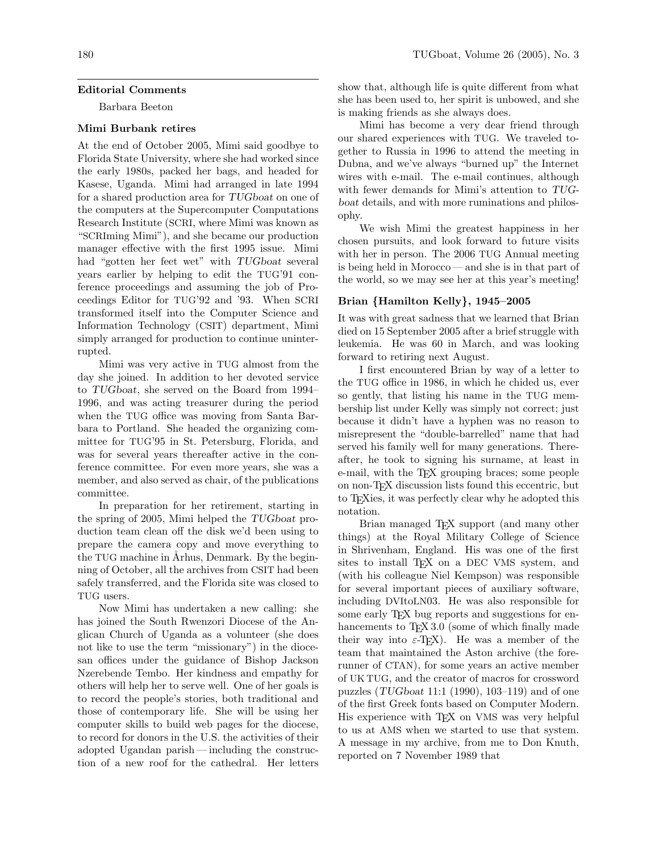## Editorial Comments

Barbara Beeton

# Mimi Burbank retires

At the end of October 2005, Mimi said goodbye to Florida State University, where she had worked since the early 1980s, packed her bags, and headed for Kasese, Uganda. Mimi had arranged in late 1994 for a shared production area for TUGboat on one of the computers at the Supercomputer Computations Research Institute (SCRI, where Mimi was known as "SCRIming Mimi"), and she became our production manager effective with the first 1995 issue. Mimi had "gotten her feet wet" with TUGboat several years earlier by helping to edit the TUG'91 conference proceedings and assuming the job of Proceedings Editor for TUG'92 and '93. When SCRI transformed itself into the Computer Science and Information Technology (CSIT) department, Mimi simply arranged for production to continue uninterrupted.

Mimi was very active in TUG almost from the day she joined. In addition to her devoted service to TUGboat, she served on the Board from 1994– 1996, and was acting treasurer during the period when the TUG office was moving from Santa Barbara to Portland. She headed the organizing committee for TUG'95 in St. Petersburg, Florida, and was for several years thereafter active in the conference committee. For even more years, she was a member, and also served as chair, of the publications committee.

In preparation for her retirement, starting in the spring of 2005, Mimi helped the TUGboat production team clean off the disk we'd been using to prepare the camera copy and move everything to the TUG machine in Århus, Denmark. By the beginning of October, all the archives from CSIT had been safely transferred, and the Florida site was closed to TUG users.

Now Mimi has undertaken a new calling: she has joined the South Rwenzori Diocese of the Anglican Church of Uganda as a volunteer (she does not like to use the term "missionary") in the diocesan offices under the guidance of Bishop Jackson Nzerebende Tembo. Her kindness and empathy for others will help her to serve well. One of her goals is to record the people's stories, both traditional and those of contemporary life. She will be using her computer skills to build web pages for the diocese, to record for donors in the U.S. the activities of their adopted Ugandan parish— including the construction of a new roof for the cathedral. Her letters

show that, although life is quite different from what she has been used to, her spirit is unbowed, and she is making friends as she always does.

Mimi has become a very dear friend through our shared experiences with TUG. We traveled together to Russia in 1996 to attend the meeting in Dubna, and we've always "burned up" the Internet wires with e-mail. The e-mail continues, although with fewer demands for Mimi's attention to TUGboat details, and with more ruminations and philosophy.

We wish Mimi the greatest happiness in her chosen pursuits, and look forward to future visits with her in person. The 2006 TUG Annual meeting is being held in Morocco — and she is in that part of the world, so we may see her at this year's meeting!

# Brian {Hamilton Kelly}, 1945–2005

It was with great sadness that we learned that Brian died on 15 September 2005 after a brief struggle with leukemia. He was 60 in March, and was looking forward to retiring next August.

I first encountered Brian by way of a letter to the TUG office in 1986, in which he chided us, ever so gently, that listing his name in the TUG membership list under Kelly was simply not correct; just because it didn't have a hyphen was no reason to misrepresent the "double-barrelled" name that had served his family well for many generations. Thereafter, he took to signing his surname, at least in e-mail, with the T<sub>E</sub>X grouping braces; some people on non-TEX discussion lists found this eccentric, but to TEXies, it was perfectly clear why he adopted this notation.

Brian managed T<sub>E</sub>X support (and many other things) at the Royal Military College of Science in Shrivenham, England. His was one of the first sites to install TEX on a DEC VMS system, and (with his colleague Niel Kempson) was responsible for several important pieces of auxiliary software, including DVItoLN03. He was also responsible for some early TEX bug reports and suggestions for enhancements to T<sub>F</sub>X 3.0 (some of which finally made their way into  $\varepsilon$ -T<sub>EX</sub>). He was a member of the team that maintained the Aston archive (the forerunner of CTAN), for some years an active member of UK TUG, and the creator of macros for crossword puzzles (TUGboat 11:1 (1990), 103–119) and of one of the first Greek fonts based on Computer Modern. His experience with TFX on VMS was very helpful to us at AMS when we started to use that system. A message in my archive, from me to Don Knuth, reported on 7 November 1989 that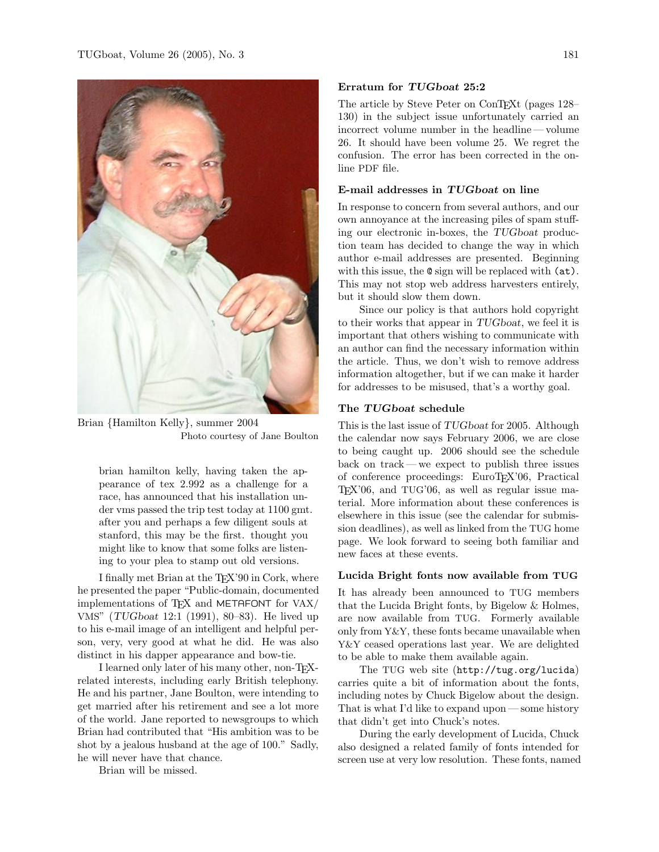

Brian {Hamilton Kelly}, summer 2004 Photo courtesy of Jane Boulton

brian hamilton kelly, having taken the appearance of tex 2.992 as a challenge for a race, has announced that his installation under vms passed the trip test today at 1100 gmt. after you and perhaps a few diligent souls at stanford, this may be the first. thought you might like to know that some folks are listening to your plea to stamp out old versions.

I finally met Brian at the TEX'90 in Cork, where he presented the paper "Public-domain, documented implementations of T<sub>E</sub>X and METAFONT for VAX/ VMS" (TUGboat 12:1 (1991), 80–83). He lived up to his e-mail image of an intelligent and helpful person, very, very good at what he did. He was also distinct in his dapper appearance and bow-tie.

I learned only later of his many other, non-TEXrelated interests, including early British telephony. He and his partner, Jane Boulton, were intending to get married after his retirement and see a lot more of the world. Jane reported to newsgroups to which Brian had contributed that "His ambition was to be shot by a jealous husband at the age of 100." Sadly, he will never have that chance.

Brian will be missed.

## Erratum for TUGboat 25:2

The article by Steve Peter on ConTEXt (pages 128– 130) in the subject issue unfortunately carried an incorrect volume number in the headline — volume 26. It should have been volume 25. We regret the confusion. The error has been corrected in the online PDF file.

# E-mail addresses in TUGboat on line

In response to concern from several authors, and our own annoyance at the increasing piles of spam stuffing our electronic in-boxes, the TUGboat production team has decided to change the way in which author e-mail addresses are presented. Beginning with this issue, the  $\mathbf{\circ}$  sign will be replaced with  $(\mathbf{at})$ . This may not stop web address harvesters entirely, but it should slow them down.

Since our policy is that authors hold copyright to their works that appear in TUGboat, we feel it is important that others wishing to communicate with an author can find the necessary information within the article. Thus, we don't wish to remove address information altogether, but if we can make it harder for addresses to be misused, that's a worthy goal.

# The TUGboat schedule

This is the last issue of TUGboat for 2005. Although the calendar now says February 2006, we are close to being caught up. 2006 should see the schedule back on track — we expect to publish three issues of conference proceedings: EuroTEX'06, Practical T<sub>EX</sub>'06, and TUG'06, as well as regular issue material. More information about these conferences is elsewhere in this issue (see the calendar for submission deadlines), as well as linked from the TUG home page. We look forward to seeing both familiar and new faces at these events.

### Lucida Bright fonts now available from TUG

It has already been announced to TUG members that the Lucida Bright fonts, by Bigelow & Holmes, are now available from TUG. Formerly available only from Y&Y, these fonts became unavailable when Y&Y ceased operations last year. We are delighted to be able to make them available again.

The TUG web site (http://tug.org/lucida) carries quite a bit of information about the fonts, including notes by Chuck Bigelow about the design. That is what I'd like to expand upon— some history that didn't get into Chuck's notes.

During the early development of Lucida, Chuck also designed a related family of fonts intended for screen use at very low resolution. These fonts, named